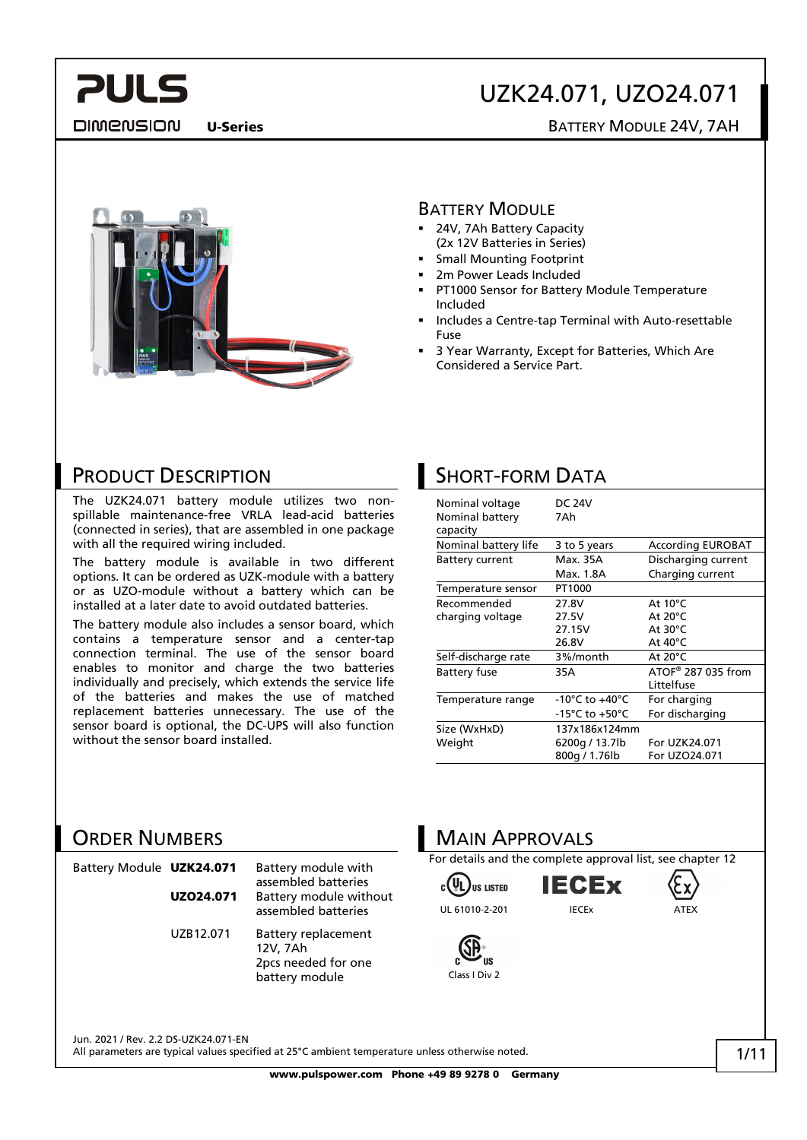# UZK24.071, UZO24.071

DIMENSION

U-Series **BATTERY MODULE 24V, 7AH** 



### BATTERY MODULE

- **24V, 7Ah Battery Capacity** (2x 12V Batteries in Series)
- Small Mounting Footprint
- 2m Power Leads Included
- PT1000 Sensor for Battery Module Temperature Included
- Includes a Centre-tap Terminal with Auto-resettable Fuse
- 3 Year Warranty, Except for Batteries, Which Are Considered a Service Part.

### PRODUCT DESCRIPTION

The UZK24.071 battery module utilizes two nonspillable maintenance-free VRLA lead-acid batteries (connected in series), that are assembled in one package with all the required wiring included.

The battery module is available in two different options. It can be ordered as UZK-module with a battery or as UZO-module without a battery which can be installed at a later date to avoid outdated batteries.

The battery module also includes a sensor board, which contains a temperature sensor and a center-tap connection terminal. The use of the sensor board enables to monitor and charge the two batteries individually and precisely, which extends the service life of the batteries and makes the use of matched replacement batteries unnecessary. The use of the sensor board is optional, the DC-UPS will also function without the sensor board installed.

### SHORT-FORM DATA

| Nominal voltage<br>Nominal battery<br>capacity | <b>DC 24V</b><br>7Ah |                          |
|------------------------------------------------|----------------------|--------------------------|
| Nominal battery life                           | 3 to 5 years         | <b>According EUROBAT</b> |
| <b>Battery current</b>                         | Max. 35A             | Discharging current      |
|                                                | Max. 1.8A            | Charging current         |
| Temperature sensor                             | PT1000               |                          |
| Recommended                                    | 27.8V                | At $10^{\circ}$ C        |
| charging voltage                               | 27.5V                | At $20^{\circ}$ C        |
|                                                | 27.15V               | At $30^{\circ}$ C        |
|                                                | 26.8V                | At $40^{\circ}$ C        |
| Self-discharge rate                            | 3%/month             | At $20^{\circ}$ C        |
| <b>Battery fuse</b>                            | 35A                  | ATOF® 287 035 from       |
|                                                |                      | Littelfuse               |
| Temperature range                              | -10°C to +40°C       | For charging             |
|                                                | -15°C to +50°C       | For discharging          |
| Size (WxHxD)                                   | 137x186x124mm        |                          |
| Weight                                         | 6200g / 13.7lb       | For UZK24.071            |
|                                                | 800g / 1.76lb        | For UZO24.071            |

### ORDER NUMBERS

| Battery Module UZK24.071 |           | Battery module with<br>assembled batteries                               |
|--------------------------|-----------|--------------------------------------------------------------------------|
|                          | UZ024.071 | Battery module without<br>assembled batteries                            |
|                          | UZB12.071 | Battery replacement<br>12V, 7Ah<br>2pcs needed for one<br>battery module |

# MAIN APPROVALS

For details and the complete approval list, see chapter 12

. )iis listen UL 61010-2-201 IECEx ATEX





1/11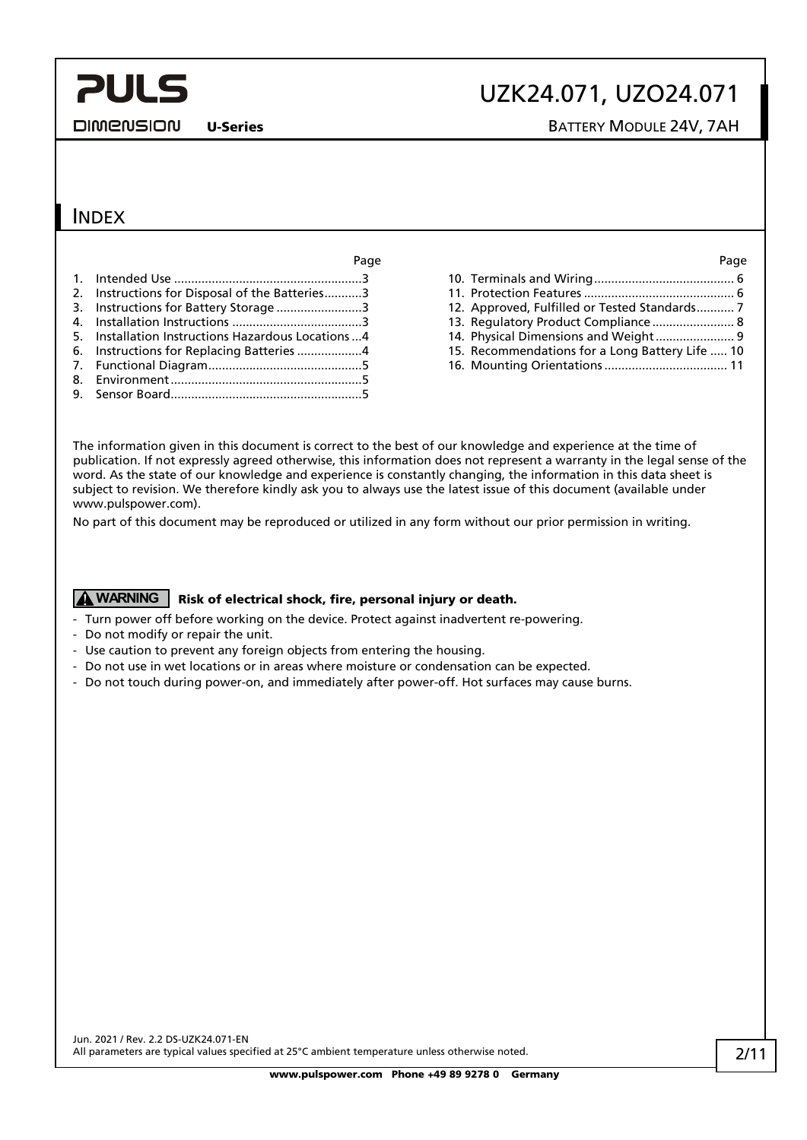**DIMENSION** 

# UZK24.071, UZO24.071

U-Series **BATTERY MODULE 24V, 7AH** 

### INDEX

| Page                                                | Page                                            |
|-----------------------------------------------------|-------------------------------------------------|
|                                                     |                                                 |
| 2. Instructions for Disposal of the Batteries3      |                                                 |
| 3. Instructions for Battery Storage 3               | 12. Approved, Fulfilled or Tested Standards 7   |
|                                                     | 13. Regulatory Product Compliance 8             |
| 5. Installation Instructions Hazardous Locations  4 | 14. Physical Dimensions and Weight 9            |
| 6. Instructions for Replacing Batteries 4           | 15. Recommendations for a Long Battery Life  10 |
|                                                     |                                                 |
|                                                     |                                                 |
|                                                     |                                                 |

| 13. Regulatory Product Compliance 8             |  |
|-------------------------------------------------|--|
| 14. Physical Dimensions and Weight 9            |  |
| 15. Recommendations for a Long Battery Life  10 |  |
|                                                 |  |

The information given in this document is correct to the best of our knowledge and experience at the time of publication. If not expressly agreed otherwise, this information does not represent a warranty in the legal sense of the word. As the state of our knowledge and experience is constantly changing, the information in this data sheet is subject to revision. We therefore kindly ask you to always use the latest issue of this document (available under www.pulspower.com).

No part of this document may be reproduced or utilized in any form without our prior permission in writing.

### **A WARNING** Risk of electrical shock, fire, personal injury or death.

- Turn power off before working on the device. Protect against inadvertent re-powering.
- Do not modify or repair the unit.
- Use caution to prevent any foreign objects from entering the housing.
- Do not use in wet locations or in areas where moisture or condensation can be expected.
- Do not touch during power-on, and immediately after power-off. Hot surfaces may cause burns.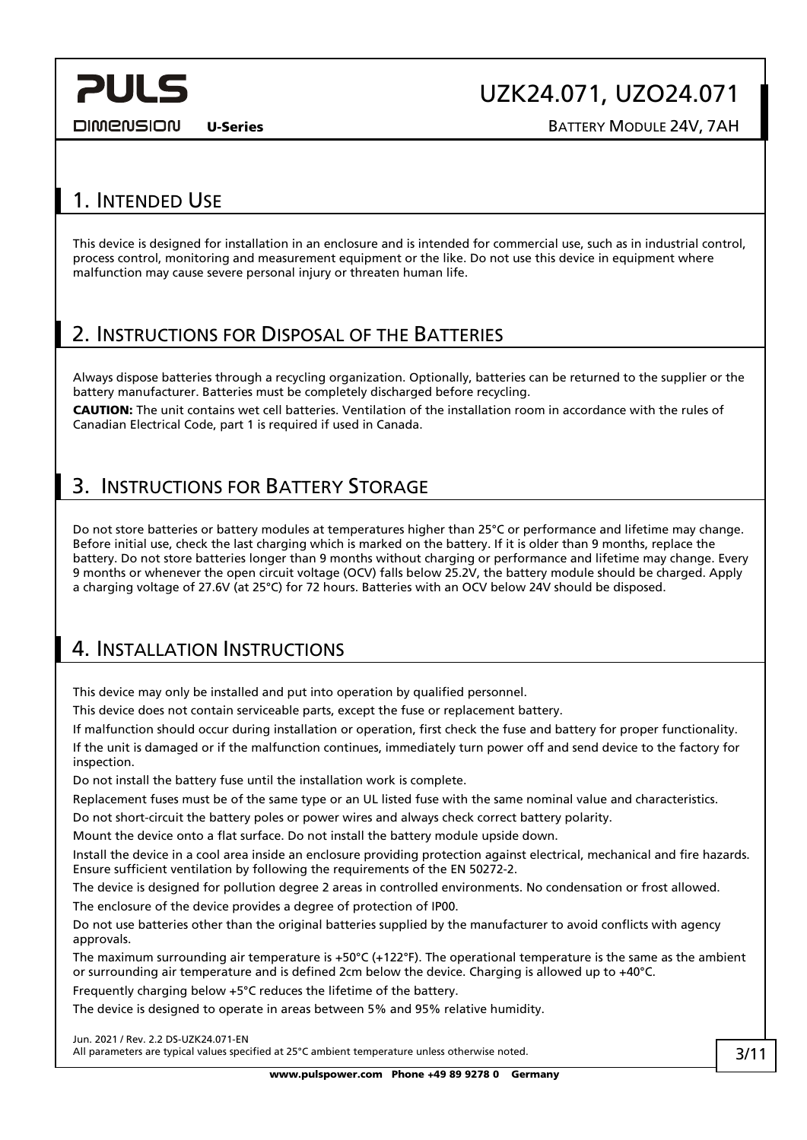# UZK24.071, UZO24.071

**DIMENSION** 

U-Series **BATTERY MODULE 24V, 7AH** 

### <span id="page-2-0"></span>1. INTENDED USE

This device is designed for installation in an enclosure and is intended for commercial use, such as in industrial control, process control, monitoring and measurement equipment or the like. Do not use this device in equipment where malfunction may cause severe personal injury or threaten human life.

### <span id="page-2-1"></span>2. INSTRUCTIONS FOR DISPOSAL OF THE BATTERIES

Always dispose batteries through a recycling organization. Optionally, batteries can be returned to the supplier or the battery manufacturer. Batteries must be completely discharged before recycling.

CAUTION: The unit contains wet cell batteries. Ventilation of the installation room in accordance with the rules of Canadian Electrical Code, part 1 is required if used in Canada.

### <span id="page-2-2"></span>3. INSTRUCTIONS FOR BATTERY STORAGE

Do not store batteries or battery modules at temperatures higher than 25°C or performance and lifetime may change. Before initial use, check the last charging which is marked on the battery. If it is older than 9 months, replace the battery. Do not store batteries longer than 9 months without charging or performance and lifetime may change. Every 9 months or whenever the open circuit voltage (OCV) falls below 25.2V, the battery module should be charged. Apply a charging voltage of 27.6V (at 25°C) for 72 hours. Batteries with an OCV below 24V should be disposed.

### <span id="page-2-3"></span>4. INSTALLATION INSTRUCTIONS

This device may only be installed and put into operation by qualified personnel.

This device does not contain serviceable parts, except the fuse or replacement battery.

If malfunction should occur during installation or operation, first check the fuse and battery for proper functionality. If the unit is damaged or if the malfunction continues, immediately turn power off and send device to the factory for inspection.

Do not install the battery fuse until the installation work is complete.

Replacement fuses must be of the same type or an UL listed fuse with the same nominal value and characteristics.

Do not short-circuit the battery poles or power wires and always check correct battery polarity.

Mount the device onto a flat surface. Do not install the battery module upside down.

Install the device in a cool area inside an enclosure providing protection against electrical, mechanical and fire hazards. Ensure sufficient ventilation by following the requirements of the EN 50272-2.

The device is designed for pollution degree 2 areas in controlled environments. No condensation or frost allowed. The enclosure of the device provides a degree of protection of IP00.

Do not use batteries other than the original batteries supplied by the manufacturer to avoid conflicts with agency approvals.

The maximum surrounding air temperature is +50°C (+122°F). The operational temperature is the same as the ambient or surrounding air temperature and is defined 2cm below the device. Charging is allowed up to +40°C.

Frequently charging below +5°C reduces the lifetime of the battery.

The device is designed to operate in areas between 5% and 95% relative humidity.

Jun. 2021 / Rev. 2.2 DS-UZK24.071-EN All parameters are typical values specified at 25°C ambient temperature unless otherwise noted.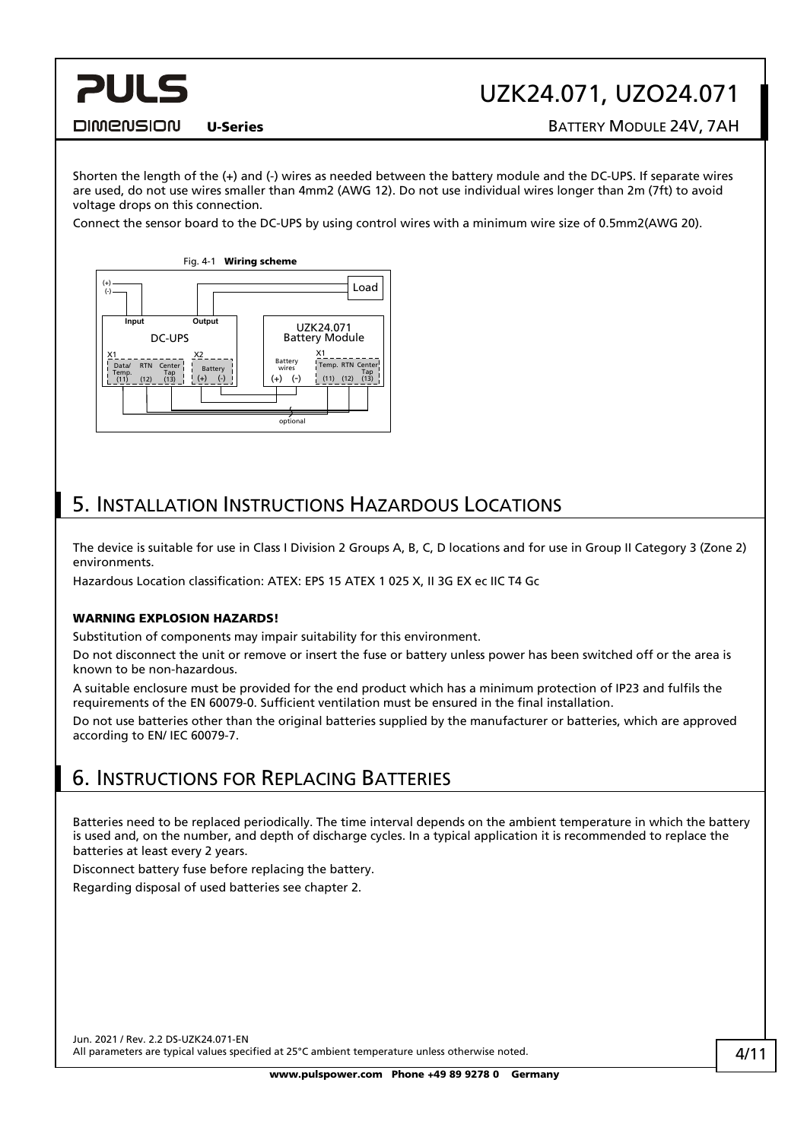# UZK24.071, UZO24.071

#### **DIMENSION**

**PULS** 

U-Series **BATTERY MODULE 24V, 7AH** 

Shorten the length of the (+) and (-) wires as needed between the battery module and the DC-UPS. If separate wires are used, do not use wires smaller than 4mm2 (AWG 12). Do not use individual wires longer than 2m (7ft) to avoid voltage drops on this connection.

Connect the sensor board to the DC-UPS by using control wires with a minimum wire size of 0.5mm2(AWG 20).



## <span id="page-3-0"></span>5. INSTALLATION INSTRUCTIONS HAZARDOUS LOCATIONS

The device is suitable for use in Class I Division 2 Groups A, B, C, D locations and for use in Group II Category 3 (Zone 2) environments.

Hazardous Location classification: ATEX: EPS 15 ATEX 1 025 X, II 3G EX ec IIC T4 Gc

#### WARNING FXPLOSION HAZARDS!

Substitution of components may impair suitability for this environment.

Do not disconnect the unit or remove or insert the fuse or battery unless power has been switched off or the area is known to be non-hazardous.

A suitable enclosure must be provided for the end product which has a minimum protection of IP23 and fulfils the requirements of the EN 60079-0. Sufficient ventilation must be ensured in the final installation.

Do not use batteries other than the original batteries supplied by the manufacturer or batteries, which are approved according to EN/ IEC 60079-7.

### <span id="page-3-1"></span>6. INSTRUCTIONS FOR REPLACING BATTERIES

Batteries need to be replaced periodically. The time interval depends on the ambient temperature in which the battery is used and, on the number, and depth of discharge cycles. In a typical application it is recommended to replace the batteries at least every 2 years.

Disconnect battery fuse before replacing the battery.

Regarding disposal of used batteries see chapter [2.](#page-2-1)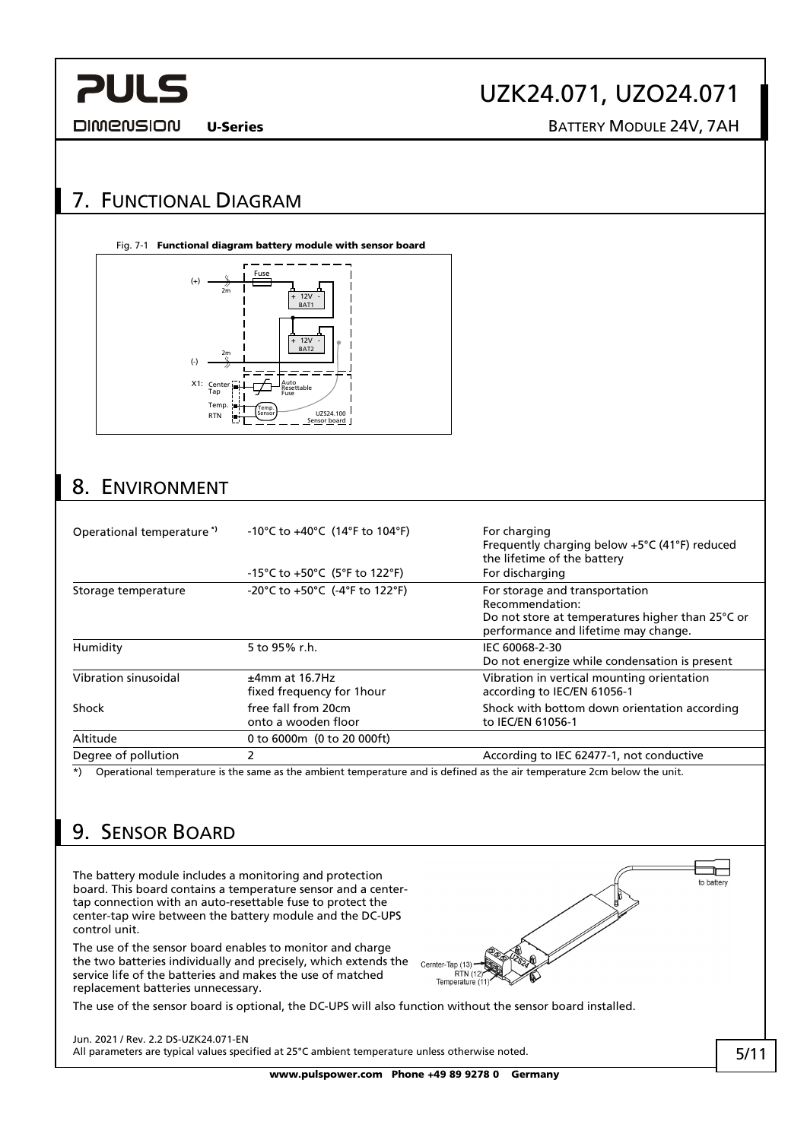#### **DIMENSION**

# UZK24.071, UZO24.071

U-Series **BATTERY MODULE 24V, 7AH** 

## <span id="page-4-0"></span>7. FUNCTIONAL DIAGRAM

#### Fig. 7-1 Functional diagram battery module with sensor board



## <span id="page-4-1"></span>8. ENVIRONMENT

| Operational temperature <sup>*</sup> | -10°C to +40°C (14°F to 104°F)<br>-15°C to +50°C (5°F to 122°F) | For charging<br>Frequently charging below +5°C (41°F) reduced<br>the lifetime of the battery<br>For discharging                               |
|--------------------------------------|-----------------------------------------------------------------|-----------------------------------------------------------------------------------------------------------------------------------------------|
| Storage temperature                  | -20°C to +50°C (-4°F to 122°F)                                  | For storage and transportation<br>Recommendation:<br>Do not store at temperatures higher than 25°C or<br>performance and lifetime may change. |
| Humidity                             | 5 to 95% r.h.                                                   | IEC 60068-2-30<br>Do not energize while condensation is present                                                                               |
| Vibration sinusoidal                 | $±4mm$ at 16.7Hz<br>fixed frequency for 1 hour                  | Vibration in vertical mounting orientation<br>according to IEC/EN 61056-1                                                                     |
| Shock                                | free fall from 20cm<br>onto a wooden floor                      | Shock with bottom down orientation according<br>to IEC/EN 61056-1                                                                             |
| Altitude                             | 0 to 6000m (0 to 20 000ft)                                      |                                                                                                                                               |
| Degree of pollution                  | 2                                                               | According to IEC 62477-1, not conductive                                                                                                      |

\*) Operational temperature is the same as the ambient temperature and is defined as the air temperature 2cm below the unit.

# <span id="page-4-2"></span>9. SENSOR BOARD

The battery module includes a monitoring and protection board. This board contains a temperature sensor and a centertap connection with an auto-resettable fuse to protect the center-tap wire between the battery module and the DC-UPS control unit.

The use of the sensor board enables to monitor and charge the two batteries individually and precisely, which extends the service life of the batteries and makes the use of matched replacement batteries unnecessary.

The use of the sensor board is optional, the DC-UPS will also function without the sensor board installed.

Jun. 2021 / Rev. 2.2 DS-UZK24.071-EN All parameters are typical values specified at 25°C ambient temperature unless otherwise noted.

www.pulspower.com Phone +49 89 9278 0 Germany

Cernter-Tap (13) RTN (12) Temperature (11)

 $\overline{\phantom{a}}$ to batten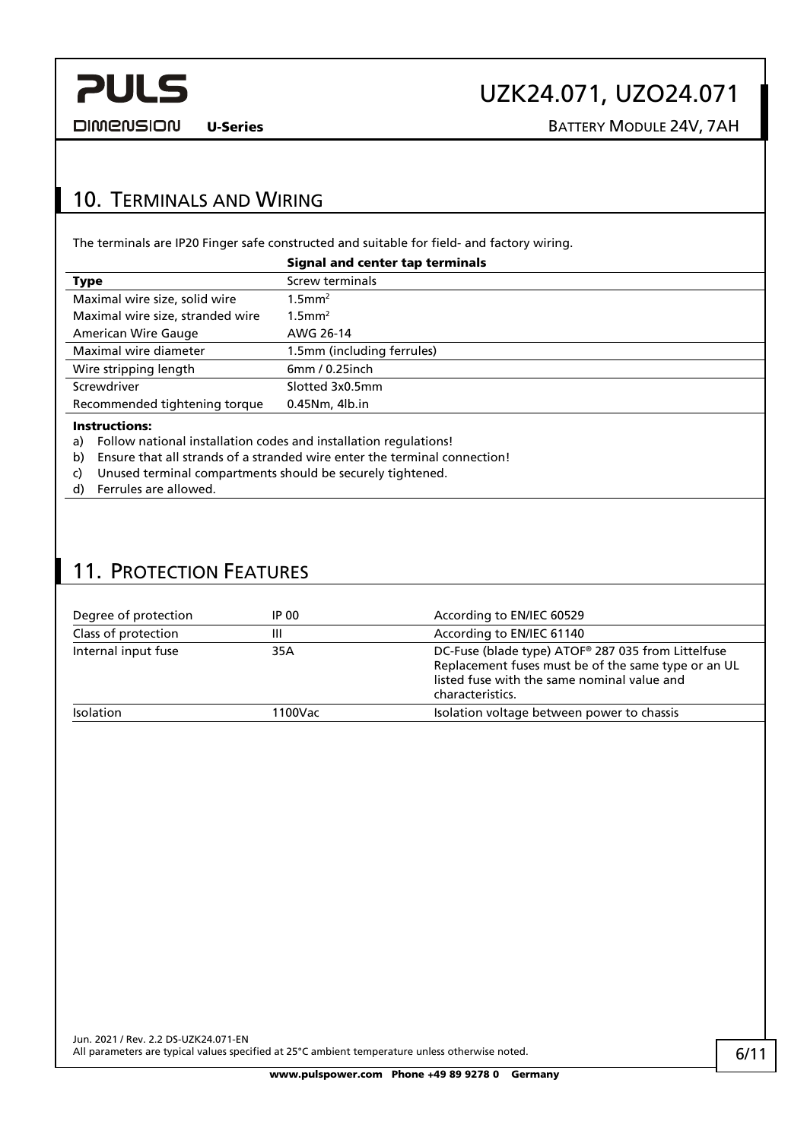

# UZK24.071, UZO24.071

**DIMENSION** 

U-Series BATTERY MODULE 24V, 7AH

## <span id="page-5-0"></span>10. TERMINALS AND WIRING

The terminals are IP20 Finger safe constructed and suitable for field- and factory wiring.

|                                  | <b>Signal and center tap terminals</b> |
|----------------------------------|----------------------------------------|
| Type                             | Screw terminals                        |
| Maximal wire size, solid wire    | $1.5$ mm <sup>2</sup>                  |
| Maximal wire size, stranded wire | $1.5$ mm <sup>2</sup>                  |
| American Wire Gauge              | AWG 26-14                              |
| Maximal wire diameter            | 1.5mm (including ferrules)             |
| Wire stripping length            | $6mm/0.25$ inch                        |
| Screwdriver                      | Slotted 3x0.5mm                        |
| Recommended tightening torque    | $0.45$ Nm, $4$ lb.in                   |
|                                  |                                        |

#### Instructions:

a) Follow national installation codes and installation regulations!

- b) Ensure that all strands of a stranded wire enter the terminal connection!
- c) Unused terminal compartments should be securely tightened.
- d) Ferrules are allowed.

## <span id="page-5-1"></span>11. PROTECTION FEATURES

| IP 00   | According to EN/IEC 60529                                                                                                                                                    |
|---------|------------------------------------------------------------------------------------------------------------------------------------------------------------------------------|
| Ш       | According to EN/IEC 61140                                                                                                                                                    |
| 35A     | DC-Fuse (blade type) ATOF® 287 035 from Littelfuse<br>Replacement fuses must be of the same type or an UL<br>listed fuse with the same nominal value and<br>characteristics. |
| 1100Vac | Isolation voltage between power to chassis                                                                                                                                   |
|         |                                                                                                                                                                              |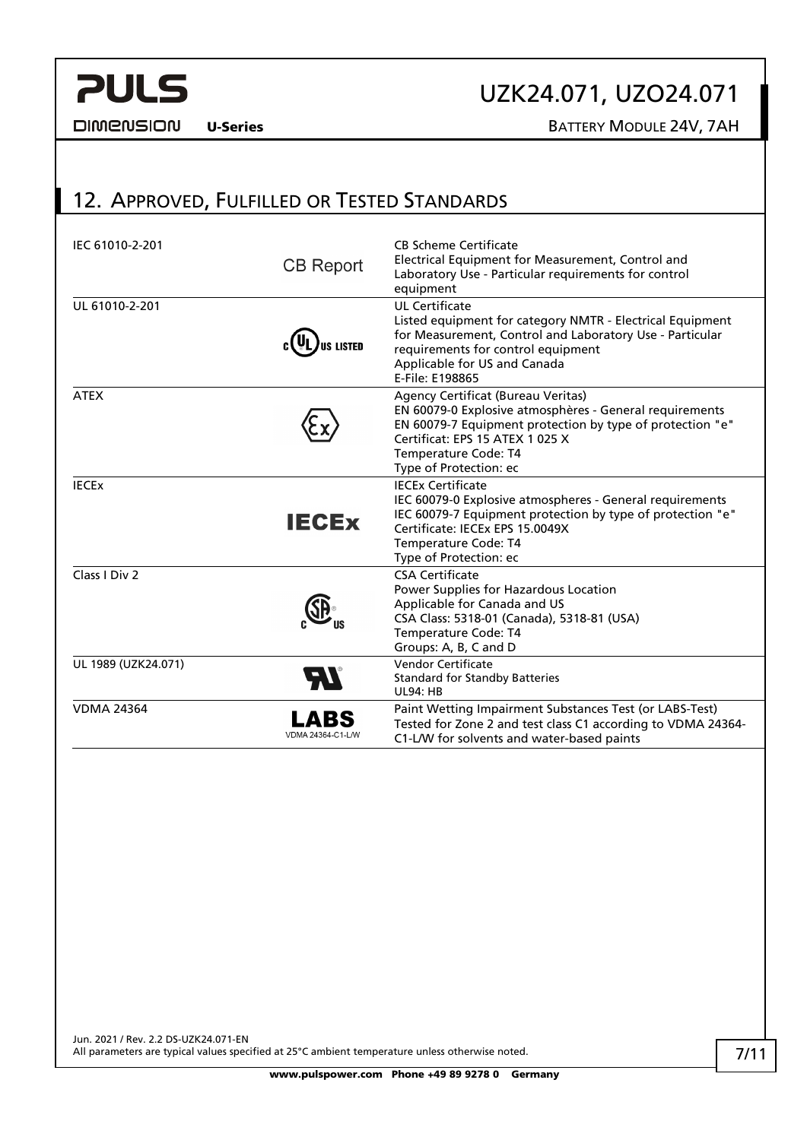# UZK24.071, UZO24.071

**DIMENSION** 

U-Series BATTERY MODULE 24V, 7AH

## <span id="page-6-0"></span>12. APPROVED, FULFILLED OR TESTED STANDARDS

| IEC 61010-2-201         | <b>CB Report</b>          | <b>CB Scheme Certificate</b><br>Electrical Equipment for Measurement, Control and<br>Laboratory Use - Particular requirements for control<br>equipment                                                                                          |
|-------------------------|---------------------------|-------------------------------------------------------------------------------------------------------------------------------------------------------------------------------------------------------------------------------------------------|
| UL 61010-2-201          | <b>LISTED</b>             | <b>UL Certificate</b><br>Listed equipment for category NMTR - Electrical Equipment<br>for Measurement, Control and Laboratory Use - Particular<br>requirements for control equipment<br>Applicable for US and Canada<br>E-File: E198865         |
| <b>ATEX</b>             |                           | Agency Certificat (Bureau Veritas)<br>EN 60079-0 Explosive atmosphères - General requirements<br>EN 60079-7 Equipment protection by type of protection "e"<br>Certificat: EPS 15 ATEX 1 025 X<br>Temperature Code: T4<br>Type of Protection: ec |
| <b>IECE<sub>x</sub></b> | <b>IECEX</b>              | <b>IECEx Certificate</b><br>IEC 60079-0 Explosive atmospheres - General requirements<br>IEC 60079-7 Equipment protection by type of protection "e"<br>Certificate: IECEx EPS 15.0049X<br>Temperature Code: T4<br>Type of Protection: ec         |
| Class I Div 2           |                           | <b>CSA Certificate</b><br>Power Supplies for Hazardous Location<br>Applicable for Canada and US<br>CSA Class: 5318-01 (Canada), 5318-81 (USA)<br>Temperature Code: T4<br>Groups: A, B, C and D                                                  |
| UL 1989 (UZK24.071)     |                           | Vendor Certificate<br><b>Standard for Standby Batteries</b><br><b>UL94: HB</b>                                                                                                                                                                  |
| <b>VDMA 24364</b>       | LABS<br>VDMA 24364-C1-L/W | Paint Wetting Impairment Substances Test (or LABS-Test)<br>Tested for Zone 2 and test class C1 according to VDMA 24364-<br>C1-L/W for solvents and water-based paints                                                                           |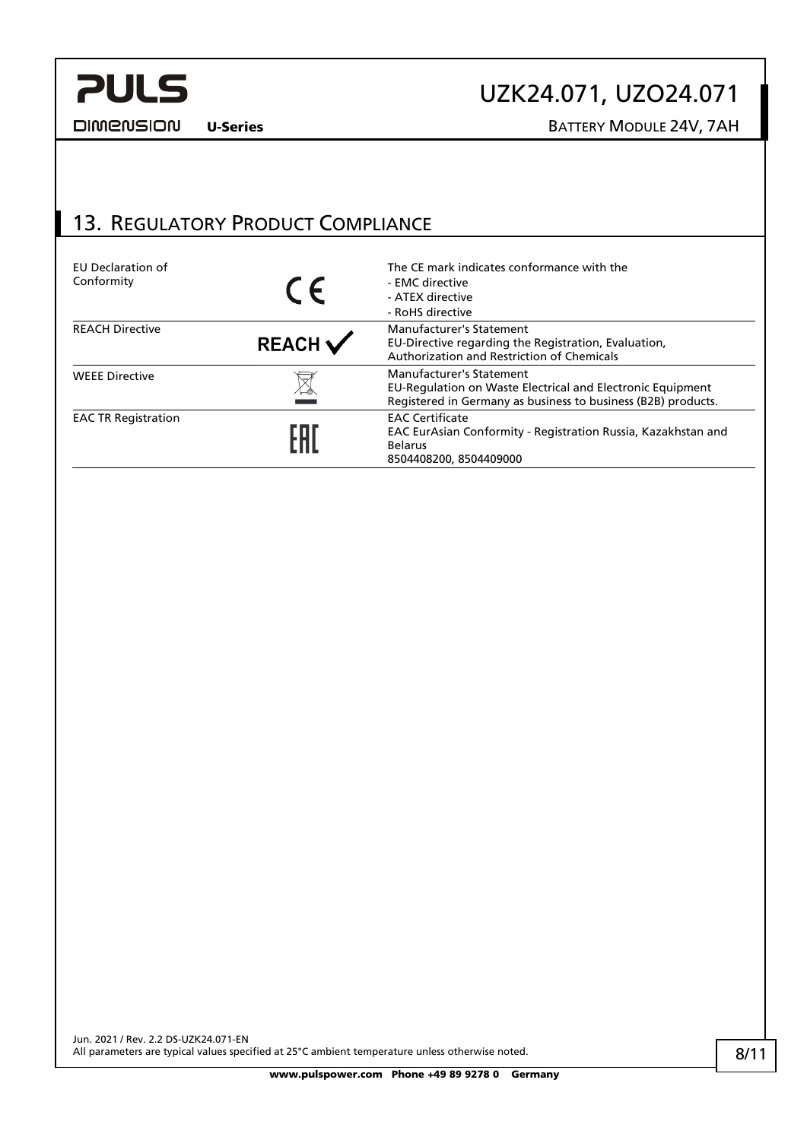# UZK24.071, UZO24.071

**DIMENSION** 

### U-Series BATTERY MODULE 24V, 7AH

### <span id="page-7-0"></span>13. REGULATORY PRODUCT COMPLIANCE

| EU Declaration of<br>Conformity | $\epsilon$         | The CE mark indicates conformance with the<br>- EMC directive<br>- ATEX directive<br>- RoHS directive                                                   |
|---------------------------------|--------------------|---------------------------------------------------------------------------------------------------------------------------------------------------------|
| <b>REACH Directive</b>          | $REACH \checkmark$ | Manufacturer's Statement<br>EU-Directive regarding the Registration, Evaluation,<br>Authorization and Restriction of Chemicals                          |
| <b>WEEE Directive</b>           |                    | Manufacturer's Statement<br>EU-Regulation on Waste Electrical and Electronic Equipment<br>Registered in Germany as business to business (B2B) products. |
| <b>EAC TR Registration</b>      |                    | <b>EAC Certificate</b><br>EAC EurAsian Conformity - Registration Russia, Kazakhstan and<br><b>Belarus</b><br>8504408200, 8504409000                     |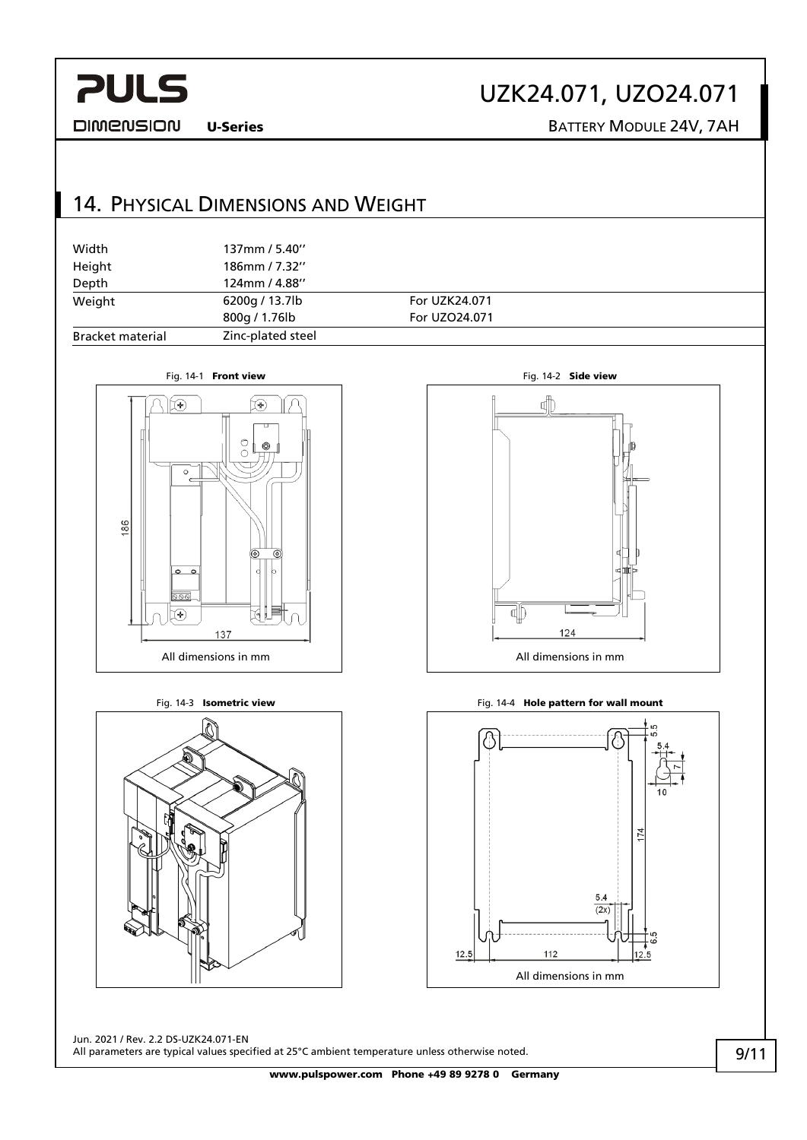# UZK24.071, UZO24.071

**DIMENSION** 

U-Series BATTERY MODULE 24V, 7AH

## <span id="page-8-0"></span>14. PHYSICAL DIMENSIONS AND WEIGHT

| Width                   | 137mm / 5.40"     |               |  |
|-------------------------|-------------------|---------------|--|
| Height                  | 186mm / 7.32"     |               |  |
| Depth                   | 124mm / 4.88"     |               |  |
| Weight                  | 6200g / 13.7lb    | For UZK24.071 |  |
|                         | 800g / 1.76lb     | For UZO24.071 |  |
| <b>Bracket material</b> | Zinc-plated steel |               |  |







Fig. 14-3 **Isometric view Fig. 14-4 Hole pattern for wall mount** 



Jun. 2021 / Rev. 2.2 DS-UZK24.071-EN All parameters are typical values specified at 25°C ambient temperature unless otherwise noted.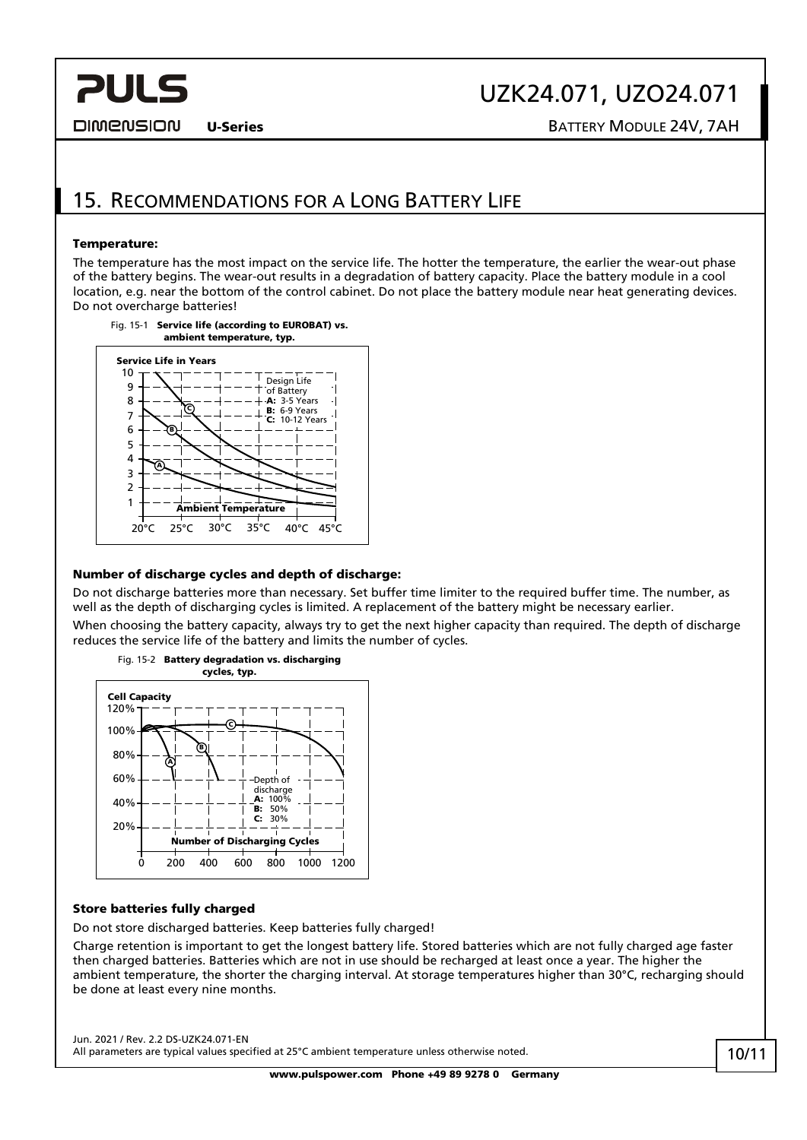#### **DIMENSION**

# UZK24.071, UZO24.071

U-Series **BATTERY MODULE 24V, 7AH** 

### <span id="page-9-0"></span>15. RECOMMENDATIONS FOR A LONG BATTERY LIFE

#### Temperature:

The temperature has the most impact on the service life. The hotter the temperature, the earlier the wear-out phase of the battery begins. The wear-out results in a degradation of battery capacity. Place the battery module in a cool location, e.g. near the bottom of the control cabinet. Do not place the battery module near heat generating devices. Do not overcharge batteries!



#### Number of discharge cycles and depth of discharge:

Do not discharge batteries more than necessary. Set buffer time limiter to the required buffer time. The number, as well as the depth of discharging cycles is limited. A replacement of the battery might be necessary earlier.

When choosing the battery capacity, always try to get the next higher capacity than required. The depth of discharge reduces the service life of the battery and limits the number of cycles.



#### Store batteries fully charged

Do not store discharged batteries. Keep batteries fully charged!

Charge retention is important to get the longest battery life. Stored batteries which are not fully charged age faster then charged batteries. Batteries which are not in use should be recharged at least once a year. The higher the ambient temperature, the shorter the charging interval. At storage temperatures higher than 30°C, recharging should be done at least every nine months.

Jun. 2021 / Rev. 2.2 DS-UZK24.071-EN All parameters are typical values specified at 25°C ambient temperature unless otherwise noted.

www.pulspower.com Phone +49 89 9278 0 Germany